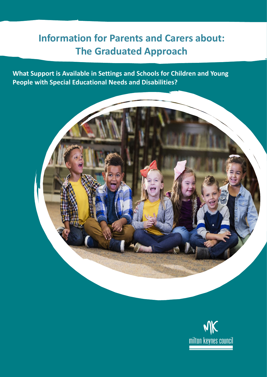# **Information for Parents and Carers about: The Graduated Approach**

**What Support is Available in Settings and Schools for Children and Young People with Special Educational Needs and Disabilities?**



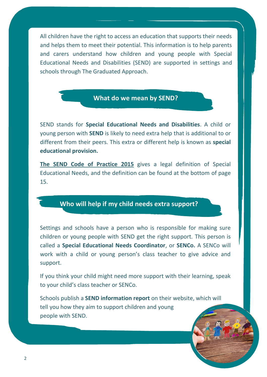All children have the right to access an education that supports their needs and helps them to meet their potential. This information is to help parents and carers understand how children and young people with Special Educational Needs and Disabilities (SEND) are supported in settings and schools through The Graduated Approach.

## **What do we mean by SEND?**

SEND stands for **Special Educational Needs and Disabilities**. A child or young person with **SEND** is likely to need extra help that is additional to or different from their peers. This extra or different help is known as **special educational provision.**

**[The SEND Code of Practice 2015](https://assets.publishing.service.gov.uk/government/uploads/system/uploads/attachment_data/file/398815/SEND_Code_of_Practice_January_2015.pdf)** gives a legal definition of Special Educational Needs, and the definition can be found at the bottom of page 15.

# **Who will help if my child needs extra support?**

Settings and schools have a person who is responsible for making sure children or young people with SEND get the right support. This person is called a **Special Educational Needs Coordinator**, or **SENCo.** A SENCo will work with a child or young person's class teacher to give advice and support.

If you think your child might need more support with their learning, speak to your child's class teacher or SENCo.

Schools publish a **SEND information report** on their website, which will tell you how they aim to support children and young people with SEND.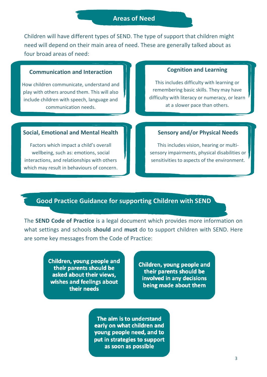## **Areas of Need**

Children will have different types of SEND. The type of support that children might need will depend on their main area of need. These are generally talked about as four broad areas of need:

#### **Communication and Interaction**

How children communicate, understand and play with others around them. This will also include children with speech, language and communication needs.

#### **Cognition and Learning**

This includes difficulty with learning or remembering basic skills. They may have difficulty with literacy or numeracy, or learn at a slower pace than others.

### **Social, Emotional and Mental Health**

Factors which impact a child's overall wellbeing, such as: emotions, social interactions, and relationships with others which may result in behaviours of concern.

## **Sensory and/or Physical Needs**

This includes vision, hearing or multisensory impairments, physical disabilities or sensitivities to aspects of the environment.

## **Good Practice Guidance for supporting Children with SEND**

The **SEND Code of Practice** is a legal document which provides more information on what settings and schools **should** and **must** do to support children with SEND. Here are some key messages from the Code of Practice:

> Children, young people and their parents should be asked about their views, wishes and feelings about their needs

Children, young people and their parents should be involved in any decisions being made about them

The aim is to understand early on what children and young people need, and to put in strategies to support as soon as possible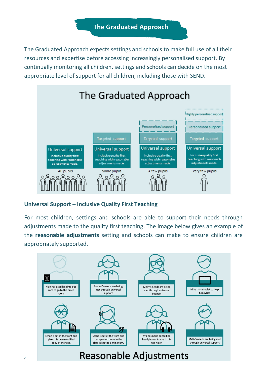**The Graduated Approach**

The Graduated Approach expects settings and schools to make full use of all their resources and expertise before accessing increasingly personalised support. By continually monitoring all children, settings and schools can decide on the most appropriate level of support for all children, including those with SEND.



## **Universal Support – Inclusive Quality First Teaching**

For most children, settings and schools are able to support their needs through adjustments made to the quality first teaching. The image below gives an example of the **reasonable adjustments** setting and schools can make to ensure children are appropriately supported.

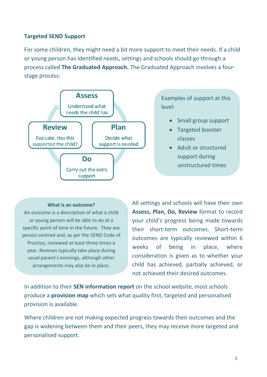## **Targeted SEND Support**

For some children, they might need a bit more support to meet their needs. If a child or young person has identified needs, settings and schools should go through a process called **The Graduated Approach.** The Graduated Approach involves a fourstage process:



Examples of support at this level:

- Small group support
- Targeted booster classes
- Adult or structured support during unstructured times

#### **What is an outcome?**

An outcome is a description of what a child or young person will be able to do at a specific point of time in the future. They are person centred and, as per the SEND Code of Practice, reviewed at least three times a year. Reviews typically take place during usual parent's evenings, although other arrangements may also be in place.

All settings and schools will have their own **Assess, Plan, Do, Review** format to record your child's progress being made towards their short-term outcomes. Short-term outcomes are typically reviewed within 6 weeks of being in place, where consideration is given as to whether your child has achieved, partially achieved, or not achieved their desired outcomes.

In addition to their **SEN information report** on the school website, most schools produce a **provision map** which sets what quality first, targeted and personalised provision is available.

Where children are not making expected progress towards their outcomes and the gap is widening between them and their peers, they may receive more targeted and personalised support.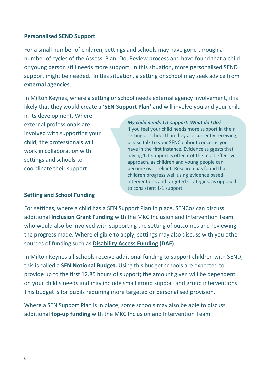## **Personalised SEND Support**

For a small number of children, settings and schools may have gone through a number of cycles of the Assess, Plan, Do, Review process and have found that a child or young person still needs more support. In this situation, more personalised SEND support might be needed. In this situation, a setting or school may seek advice from **external agencies**.

In Milton Keynes, where a setting or school needs external agency involvement, it is likely that they would create a **'[SEN Support P](https://www.milton-keynes.gov.uk/schools-and-lifelong-learning/send-local-offer/send-local-offer-parents/sen-support-and-ehcs/ehc-needs-assessments)lan'** and will involve you and your child

in its development. Where external professionals are involved with supporting your child, the professionals will work in collaboration with settings and schools to coordinate their support.

*My child needs 1:1 support. What do I do?* If you feel your child needs more support in their setting or school than they are currently receiving, please talk to your SENCo about concerns you have in the first instance. Evidence suggests that having 1:1 support is often not the most effective approach, as children and young people can become over reliant. Research has found that children progress well using evidence based interventions and targeted strategies, as opposed to consistent 1-1 support.

## **Setting and School Funding**

For settings, where a child has a SEN Support Plan in place, SENCos can discuss additional **Inclusion Grant Funding** with the MKC Inclusion and Intervention Team who would also be involved with supporting the setting of outcomes and reviewing the progress made. Where eligible to apply, settings may also discuss with you other sources of funding such as **[Disability Access Funding](https://www.gov.uk/government/publications/early-years-business-sustainability-guides-for-providers/extra-sources-of-income-for-early-years-providers) (DAF)**.

In Milton Keynes all schools receive additional funding to support children with SEND; this is called a **SEN Notional Budget.** Using this budget schools are expected to provide up to the first 12.85 hours of support; the amount given will be dependent on your child's needs and may include small group support and group interventions. This budget is for pupils requiring more targeted or personalised provision.

Where a SEN Support Plan is in place, some schools may also be able to discuss additional **top-up funding** with the MKC Inclusion and Intervention Team.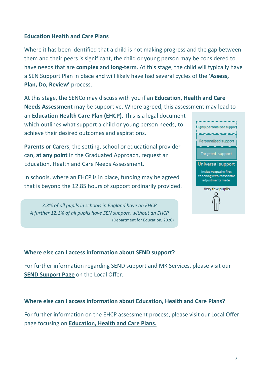## **Education Health and Care Plans**

Where it has been identified that a child is not making progress and the gap between them and their peers is significant, the child or young person may be considered to have needs that are **complex** and **long-term**. At this stage, the child will typically have a SEN Support Plan in place and will likely have had several cycles of the **'Assess,**  Plan, Do, Review' process.

At this stage, the SENCo may discuss with you if an **Education, Health and Care Needs Assessment** may be supportive. Where agreed, this assessment may lead to

an **Education Health Care Plan (EHCP).** This is a legal document which outlines what support a child or young person needs, to achieve their desired outcomes and aspirations.

**Parents or Carers**, the setting, school or educational provider can, **at any point** in the Graduated Approach, request an Education, Health and Care Needs Assessment.

In schools, where an EHCP is in place, funding may be agreed that is beyond the 12.85 hours of support ordinarily provided.

*3.3% of all pupils in schools in England have an EHCP A further 12.1% of all pupils have SEN support, without an EHCP* (Department for Education, 2020)



## **Where else can I access information about SEND support?**

For further information regarding SEND support and MK Services, please visit our **SEND [Support Page](https://www.milton-keynes.gov.uk/schools-and-lifelong-learning/send-local-offer/education)** on the Local Offer.

**Where else can I access information about Education, Health and Care Plans?**

For further information on the EHCP assessment process, please visit our Local Offer page focusing on **[Education, Health and Care Plans.](https://www.milton-keynes.gov.uk/schools-and-lifelong-learning/send-local-offer/education/educational-health-and-care-plans-more-information)**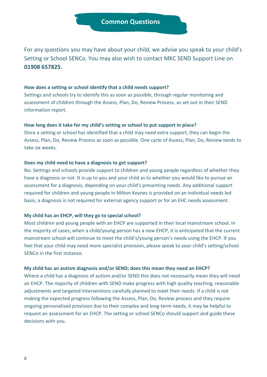For any questions you may have about your child, we advise you speak to your child's Setting or School SENCo. You may also wish to contact MKC SEND Support Line on **01908 657825.**

#### **How does a setting or school identify that a child needs support?**

Settings and schools try to identify this as soon as possible, through regular monitoring and assessment of children through the Assess, Plan, Do, Review Process, as set out in their SEND information report.

#### **How long does it take for my child's setting or school to put support in place?**

Once a setting or school has identified that a child may need extra support, they can begin the Assess, Plan, Do, Review Process as soon as possible. One cycle of Assess, Plan, Do, Review tends to take six weeks.

#### **Does my child need to have a diagnosis to get support?**

No. Settings and schools provide support to children and young people regardless of whether they have a diagnosis or not. It is up to you and your child as to whether you would like to pursue an assessment for a diagnosis, depending on your child's presenting needs. Any additional support required for children and young people in Milton Keynes is provided on an individual needs led basis, a diagnosis is not required for external agency support or for an EHC needs assessment.

#### **My child has an EHCP, will they go to special school?**

Most children and young people with an EHCP are supported in their local mainstream school. In the majority of cases, when a child/young person has a new EHCP, it is anticipated that the current mainstream school will continue to meet the child's/young person's needs using the EHCP. If you feel that your child may need more specialist provision, please speak to your child's setting/school SENCo in the first instance.

#### **My child has an autism diagnosis and/or SEND; does this mean they need an EHCP?**

Where a child has a diagnosis of autism and/or SEND this does not necessarily mean they will need an EHCP. The majority of children with SEND make progress with high quality teaching, reasonable adjustments and targeted interventions carefully planned to meet their needs. If a child is not making the expected progress following the Assess, Plan, Do, Review process and they require ongoing personalised provision due to their complex and long-term needs, it may be helpful to request an assessment for an EHCP. The setting or school SENCo should support and guide these decisions with you.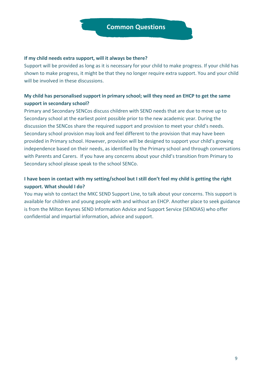#### **If my child needs extra support, will it always be there?**

Support will be provided as long as it is necessary for your child to make progress. If your child has shown to make progress, it might be that they no longer require extra support. You and your child will be involved in these discussions.

## **My child has personalised support in primary school; will they need an EHCP to get the same support in secondary school?**

Primary and Secondary SENCos discuss children with SEND needs that are due to move up to Secondary school at the earliest point possible prior to the new academic year. During the discussion the SENCos share the required support and provision to meet your child's needs. Secondary school provision may look and feel different to the provision that may have been provided in Primary school. However, provision will be designed to support your child's growing independence based on their needs, as identified by the Primary school and through conversations with Parents and Carers. If you have any concerns about your child's transition from Primary to Secondary school please speak to the school SENCo.

## **I have been in contact with my setting/school but I still don't feel my child is getting the right support. What should I do?**

You may wish to contact the MKC SEND Support Line, to talk about your concerns. This support is available for children and young people with and without an EHCP. Another place to seek guidance is from the Milton Keynes SEND Information Advice and Support Service (SENDIAS) who offer confidential and impartial information, advice and support.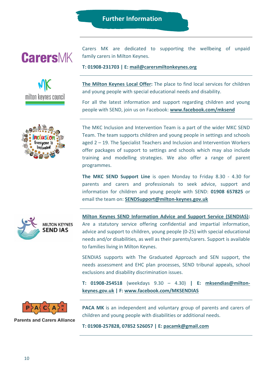# **Further Information**







Carers MK are dedicated to supporting the wellbeing of unpaid family carers in Milton Keynes.

**T: 01908-231703 | E: [mail@carersmiltonkeynes.org](file://///Mkc/dfs01/shared/Customer_Services/SENDIAS/Outreach_Projects/Virtual%20workshops/mail@carersmiltonkeynes.org)**

**[The Milton Keynes Local Offer:](https://www.milton-keynes.gov.uk/schools-and-lifelong-learning/send-local-offer)** The place to find local services for children and young people with special educational needs and disability.

For all the latest information and support regarding children and young people with SEND, join us on Facebook: **[www.facebook.com/mksend](http://www.facebook.com/mksend)**

The MKC Inclusion and Intervention Team is a part of the wider MKC SEND Team. The team supports children and young people in settings and schools aged 2 – 19. The Specialist Teachers and Inclusion and Intervention Workers offer packages of support to settings and schools which may also include training and modelling strategies. We also offer a range of parent programmes.

**The MKC SEND Support Line** is open Monday to Friday 8.30 - 4.30 for parents and carers and professionals to seek advice, support and information for children and young people with SEND: **01908 657825** or email the team on: **[SENDSupport@milton-keynes.gov.uk](mailto:SENDSupport@milton-keynes.gov.uk)**



**[Milton Keynes SEND Information Advice and Support Service \(SENDIAS\):](https://www.milton-keynes.gov.uk/schools-and-lifelong-learning/special-educational-needs/mk-special-educational-needs-and-disability-information-advice-and-support-service)** Are a statutory service offering confidential and impartial information, advice and support to children, young people (0-25) with special educational needs and/or disabilities, as well as their parents/carers. Support is available to families living in Milton Keynes.

SENDIAS supports with The Graduated Approach and SEN support, the needs assessment and EHC plan processes, SEND tribunal appeals, school exclusions and disability discrimination issues.

**T: 01908-254518** (weekdays 9.30 – 4.30) **| E: [mksendias@milton](file://///Mkc/dfs01/shared/Customer_Services/SENDIAS/Outreach_Projects/Virtual%20workshops/mksendias@milton-keynes.gov.uk)[keynes.gov.uk](file://///Mkc/dfs01/shared/Customer_Services/SENDIAS/Outreach_Projects/Virtual%20workshops/mksendias@milton-keynes.gov.uk) | F: [www.facebook.com/MKSENDIAS](http://www.facebook.com/MKSENDIAS)**



**Parents and Carers Alliance** 

**PACA MK** is an independent and voluntary group of parents and carers of children and young people with disabilities or additional needs.

**T: 01908-257828, 07852 526057 | E: [pacamk@gmail.com](file://///Mkc/dfs01/shared/Customer_Services/SENDIAS/Outreach_Projects/Virtual%20workshops/pacamk@gmail.com)**